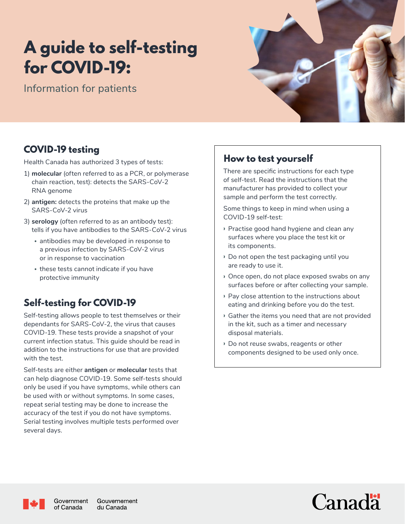# A guide to self-testing for COVID-19:

Information for patients



## COVID-19 testing

Health Canada has authorized 3 types of tests:

- 1) **molecular** (often referred to as a PCR, or polymerase chain reaction, test): detects the SARS-CoV-2 RNA genome
- 2) **antigen:** detects the proteins that make up the SARS-CoV-2 virus
- 3) **serology** (often referred to as an antibody test): tells if you have antibodies to the SARS-CoV-2 virus
	- antibodies may be developed in response to a previous infection by SARS-CoV-2 virus or in response to vaccination
	- these tests cannot indicate if you have protective immunity

# Self-testing for COVID-19

Self-testing allows people to test themselves or their dependants for SARS-CoV-2, the virus that causes COVID-19. These tests provide a snapshot of your current infection status. This guide should be read in addition to the instructions for use that are provided with the test.

Self-tests are either **antigen** or **molecular** tests that can help diagnose COVID-19. Some self-tests should only be used if you have symptoms, while others can be used with or without symptoms. In some cases, repeat serial testing may be done to increase the accuracy of the test if you do not have symptoms. Serial testing involves multiple tests performed over several days.

# How to test yourself

There are specific instructions for each type of self-test. Read the instructions that the manufacturer has provided to collect your sample and perform the test correctly.

Some things to keep in mind when using a COVID-19 self-test:

- **›** Practise good hand hygiene and clean any surfaces where you place the test kit or its components.
- **›** Do not open the test packaging until you are ready to use it.
- **›** Once open, do not place exposed swabs on any surfaces before or after collecting your sample.
- **›** Pay close attention to the instructions about eating and drinking before you do the test.
- **›** Gather the items you need that are not provided in the kit, such as a timer and necessary disposal materials.
- **›** Do not reuse swabs, reagents or other components designed to be used only once.